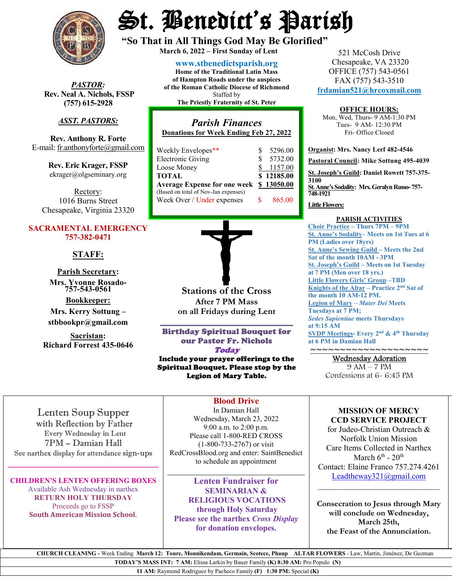

*PASTOR:* **Rev. Neal A. Nichols, FSSP (757) 615-2928** 

### *ASST. PASTORS:*

**Rev. Anthony R. Forte** E-mail[: fr.anthonyforte@gmail.com](mailto:fr.anthonyforte@gmail.com)

> **Rev. Eric Krager, FSSP** ekrager@olgseminary.org

Rectory: 1016 Burns Street Chesapeake, Virginia 23320

#### **SACRAMENTAL EMERGENCY 757-382-0471**

## **STAFF:**

**Parish Secretary: Mrs. Yvonne Rosado- 757-543-0561**

**Bookkeeper: Mrs. Kerry Sottung – stbbookpr@gmail.com**

**Sacristan: Richard Forrest 435-0646**

# St. Benedict's Parish

**"So That in All Things God May Be Glorified" March 6, <sup>2022</sup> – First Sunday of Lent**

**[www.stbenedictsparish.org](http://www.stbenedictsparish.org/) Home of the Traditional Latin Mass of Hampton Roads under the auspices of the Roman Catholic Diocese of Richmond** Staffed by **The Priestly Fraternity of St. Peter**

*Parish Finances* **Donations for Week Ending Feb 27, 2022** Weekly Envelopes\*\* <br>Electronic Giving 8 5732.00 Electronic Giving  $$5732.00$ <br>
Loose Money  $$1157.00$ Loose Money

| <b>LOOSY INJUINTY</b>                   |    | $\cup$ 1101.00 |
|-----------------------------------------|----|----------------|
| TOTAL                                   |    | \$12185.00     |
| Average Expense for one week \$13050.00 |    |                |
| (Based on total of Nov-Jan expenses)    |    |                |
| Week Over / Under expenses              | S. | 865.00         |
|                                         |    |                |



**on all Fridays during Lent**

\_\_\_\_\_\_\_\_\_\_\_\_\_\_\_\_\_\_\_\_\_\_\_\_\_\_\_\_\_\_ Birthday Spiritual Bouquet for our Pastor Fr. Nichols **Today** 

Include your prayer offerings to the Spiritual Bouquet. Please stop by the Legion of Mary Table.

521 McCosh Drive Chesapeake, VA 23320 OFFICE (757) 543-0561 FAX (757) 543-3510 **[frdamian521@hrcoxmail.com](mailto:frdamian521@hrcoxmail.com)**

#### **OFFICE HOURS:**

Mon, Wed, Thurs- 9 AM-1:30 PM Tues- 9 AM- 12:30 PM Fri- Office Closed

**Organist: Mrs. Nancy Lerf 482-4546 Pastoral Council: Mike Sottung 495-4039 St. Joseph's Guild: Daniel Rowett 757-375- 3100 St. Anne's Sodality: Mrs. Geralyn Russo-757- 748-1921**

#### **Little Flowers:**

#### **PARISH ACTIVITIES**

**Choir Practice – Thurs 7PM – 9PM St. Anne's Sodality– Meets on 1st Tues at 6 PM (Ladies over 18yrs) St. Anne's Sewing Guild – Meets the 2nd Sat of the month 10AM - 3PM St. Joseph's Guild – Meets on 1st Tuesday at 7 PM (Men over 18 yrs.) Little Flowers Girls' Group –TBD Knights of the Altar – Practice 2nd Sat of the month 10 AM-12 PM. Legion of Mary –** *Mater Dei* **Meets Tuesdays at 7 PM;**  *Sedes Sapientiae* **meets Thursdays at 9:15 AM SVDP Meetings- Every 2nd & 4th Thursday at 6 PM in Damian Hall**

# ~~~~~~~~~~~~~~~~~~~~ Wednesday Adoration

9 AM – 7 PM Confessions at 6- 6:45 PM

Lenten Soup Supper

with Reflection by Father Every Wednesday in Lent 7PM – Damian Hall See narthex display for attendance sign-ups

**\_\_\_\_\_\_\_\_\_\_\_\_\_\_\_\_\_\_\_\_\_\_\_\_\_\_\_\_\_\_\_\_\_\_**

**CHILDREN'S LENTEN OFFERING BOXES**  Available Ash Wednesday in narthex **RETURN HOLY THURSDAY**  Proceeds go to FSSP **South American Mission School**.

In Damian Hall Wednesday, March 23, 2022 9:00 a.m. to 2:00 p.m. Please call 1-800-RED CROSS (1-800-733-2767) or visit RedCrossBlood.org and enter: SaintBenedict to schedule an appointment

**Blood Drive**

**Lenten Fundraiser for SEMINARIAN & RELIGIOUS VOCATIONS through Holy Saturday Please see the narthex** *Cross Display* **for donation envelopes.**

 $\overline{\phantom{a}}$  , and the set of the set of the set of the set of the set of the set of the set of the set of the set of the set of the set of the set of the set of the set of the set of the set of the set of the set of the s

#### **MISSION OF MERCY CCD SERVICE PROJECT**

for Judeo-Christian Outreach & Norfolk Union Mission Care Items Collected in Narthex March  $6^{\text{th}}$  -  $20^{\text{th}}$ Contact: Elaine Franco 757.274.4261 [Leadtheway321@gmail.com](mailto:Leadtheway321@gmail.com)

**Consecration to Jesus through Mary will conclude on Wednesday, March 25th, the Feast of the Annunciation.**

 $\overline{\phantom{a}}$  , where  $\overline{\phantom{a}}$  , where  $\overline{\phantom{a}}$  ,  $\overline{\phantom{a}}$  ,  $\overline{\phantom{a}}$  ,  $\overline{\phantom{a}}$  ,  $\overline{\phantom{a}}$  ,  $\overline{\phantom{a}}$  ,  $\overline{\phantom{a}}$  ,  $\overline{\phantom{a}}$  ,  $\overline{\phantom{a}}$  ,  $\overline{\phantom{a}}$  ,  $\overline{\phantom{a}}$  ,  $\overline{\phantom{a}}$  ,  $\overline{\phantom{a}}$  ,

 **CHURCH CLEANING -** Week Ending **March 12: Toure, Monnikendam, Germain, Scotece, Phaup ALTAR FLOWERS** - Law, Martin, Jiménez, De Guzman

**TODAY'S MASS INT: 7 AM:** Elissa Larkin by Bauer Family **(K) 8:30 AM:** Pro Populo **(N)** 

**11 AM:** Raymond Rodriguez by Pacheco Family **(F) 1:30 PM:** Special **(K)**